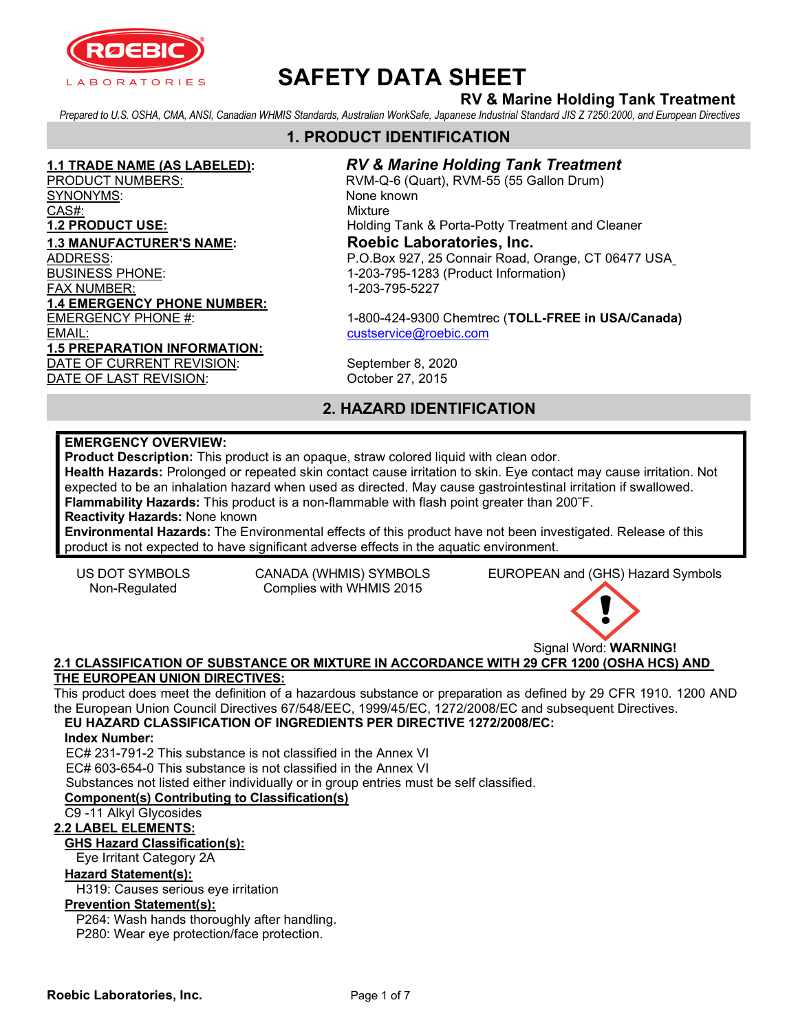

# RV & Marine Holding Tank Treatment

Prepared to U.S. OSHA, CMA, ANSI, Canadian WHMIS Standards, Australian WorkSafe, Japanese Industrial Standard JIS Z 7250:2000, and European Directives

# 1. PRODUCT IDENTIFICATION

SYNONYMS: None known CAS#: White Mixture CAS And All Alberta CAS And Alberta CAS And Alberta CAS And Alberta CAS And Alberta CAS And Alberta CAS And Alberta CAS And Alberta CAS And Alberta CAS And Alberta CAS And Alberta CAS Alberta CAS Albert 1.3 MANUFACTURER'S NAME: Roebic Laboratories, Inc. FAX NUMBER: 1-203-795-5227 1.4 EMERGENCY PHONE NUMBER: EMAIL: custservice@roebic.com 1.5 PREPARATION INFORMATION: DATE OF CURRENT REVISION: September 8, 2020 DATE OF LAST REVISION: CONSERVERSION:

### 1.1 TRADE NAME (AS LABELED): RV & Marine Holding Tank Treatment

PRODUCT NUMBERS: RVM-Q-6 (Quart), RVM-55 (55 Gallon Drum) 1.2 PRODUCT USE: **Holding Tank & Porta-Potty Treatment and Cleaner** ADDRESS: P.O.Box 927, 25 Connair Road, Orange, CT 06477 USA 1-203-795-1283 (Product Information)

EMERGENCY PHONE #: 1-800-424-9300 Chemtrec (TOLL-FREE in USA/Canada)

# 2. HAZARD IDENTIFICATION

#### EMERGENCY OVERVIEW:

Product Description: This product is an opaque, straw colored liquid with clean odor.

Health Hazards: Prolonged or repeated skin contact cause irritation to skin. Eye contact may cause irritation. Not expected to be an inhalation hazard when used as directed. May cause gastrointestinal irritation if swallowed. Flammability Hazards: This product is a non-flammable with flash point greater than 200°F.

Reactivity Hazards: None known

Environmental Hazards: The Environmental effects of this product have not been investigated. Release of this product is not expected to have significant adverse effects in the aquatic environment.

Non-Regulated Complies with WHMIS 2015

US DOT SYMBOLS CANADA (WHMIS) SYMBOLS EUROPEAN and (GHS) Hazard Symbols



#### 2.1 CLASSIFICATION OF SUBSTANCE OR MIXTURE IN ACCORDANCE WITH 29 CFR 1200 (OSHA HCS) AND THE EUROPEAN UNION DIRECTIVES:

This product does meet the definition of a hazardous substance or preparation as defined by 29 CFR 1910. 1200 AND the European Union Council Directives 67/548/EEC, 1999/45/EC, 1272/2008/EC and subsequent Directives.

EU HAZARD CLASSIFICATION OF INGREDIENTS PER DIRECTIVE 1272/2008/EC:

#### Index Number:

EC# 231-791-2 This substance is not classified in the Annex VI EC# 603-654-0 This substance is not classified in the Annex VI Substances not listed either individually or in group entries must be self classified.

# Component(s) Contributing to Classification(s)

C9 -11 Alkyl Glycosides

#### 2.2 LABEL ELEMENTS:

# GHS Hazard Classification(s):

Eye Irritant Category 2A

### Hazard Statement(s):

H319: Causes serious eye irritation

#### Prevention Statement(s):

P264: Wash hands thoroughly after handling.

P280: Wear eye protection/face protection.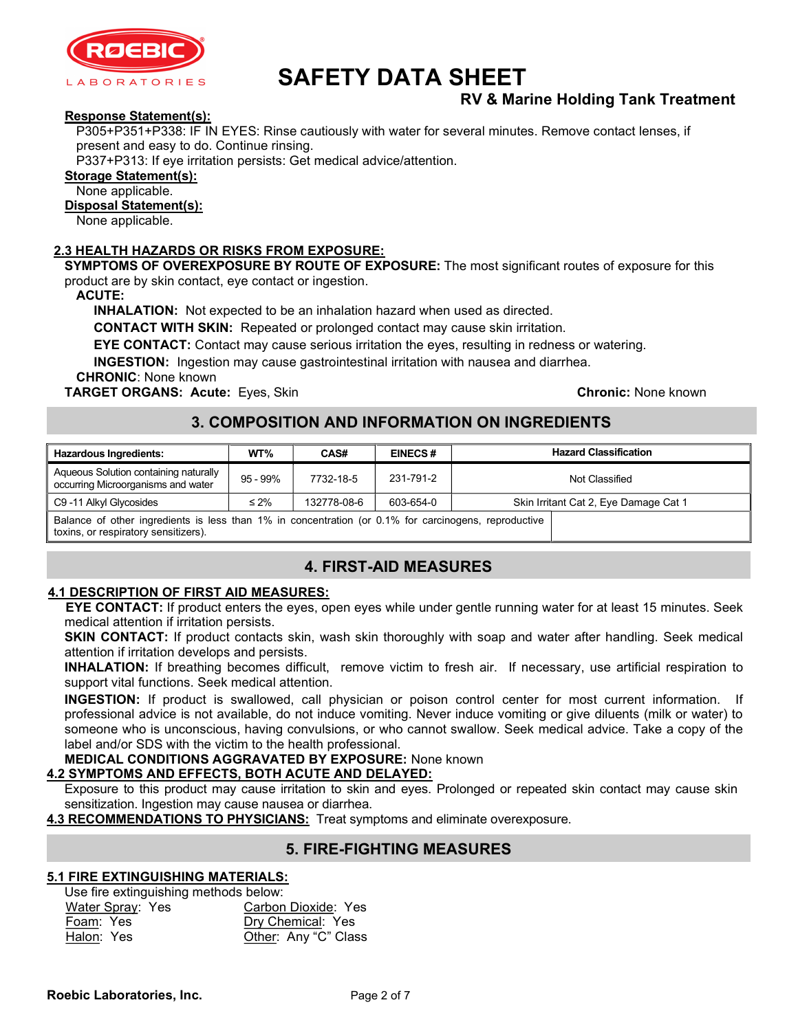

# RV & Marine Holding Tank Treatment

#### Response Statement(s):

P305+P351+P338: IF IN EYES: Rinse cautiously with water for several minutes. Remove contact lenses, if present and easy to do. Continue rinsing.

P337+P313: If eye irritation persists: Get medical advice/attention.

Storage Statement(s):

None applicable.

Disposal Statement(s):

None applicable.

#### 2.3 HEALTH HAZARDS OR RISKS FROM EXPOSURE:

SYMPTOMS OF OVEREXPOSURE BY ROUTE OF EXPOSURE: The most significant routes of exposure for this product are by skin contact, eye contact or ingestion.

ACUTE:

INHALATION: Not expected to be an inhalation hazard when used as directed.

CONTACT WITH SKIN: Repeated or prolonged contact may cause skin irritation.

EYE CONTACT: Contact may cause serious irritation the eyes, resulting in redness or watering.

INGESTION: Ingestion may cause gastrointestinal irritation with nausea and diarrhea.

CHRONIC: None known

TARGET ORGANS: Acute: Eyes, Skin Chronic: None known Chronic: None known

# 3. COMPOSITION AND INFORMATION ON INGREDIENTS

| <b>Hazardous Ingredients:</b>                                                                                                                | WT%         | CAS#        | <b>EINECS#</b> |                                       | <b>Hazard Classification</b> |
|----------------------------------------------------------------------------------------------------------------------------------------------|-------------|-------------|----------------|---------------------------------------|------------------------------|
| Aqueous Solution containing naturally<br>occurring Microorganisms and water                                                                  | $95 - 99\%$ | 7732-18-5   | 231-791-2      | Not Classified                        |                              |
| C9 -11 Alkyl Glycosides                                                                                                                      | $\leq 2\%$  | 132778-08-6 | 603-654-0      | Skin Irritant Cat 2, Eye Damage Cat 1 |                              |
| Balance of other ingredients is less than 1% in concentration (or 0.1% for carcinogens, reproductive<br>toxins, or respiratory sensitizers). |             |             |                |                                       |                              |

# 4. FIRST-AID MEASURES

#### 4.1 DESCRIPTION OF FIRST AID MEASURES:

EYE CONTACT: If product enters the eyes, open eyes while under gentle running water for at least 15 minutes. Seek medical attention if irritation persists.

SKIN CONTACT: If product contacts skin, wash skin thoroughly with soap and water after handling. Seek medical attention if irritation develops and persists.

INHALATION: If breathing becomes difficult, remove victim to fresh air. If necessary, use artificial respiration to support vital functions. Seek medical attention.

INGESTION: If product is swallowed, call physician or poison control center for most current information. If professional advice is not available, do not induce vomiting. Never induce vomiting or give diluents (milk or water) to someone who is unconscious, having convulsions, or who cannot swallow. Seek medical advice. Take a copy of the label and/or SDS with the victim to the health professional.

MEDICAL CONDITIONS AGGRAVATED BY EXPOSURE: None known

#### 4.2 SYMPTOMS AND EFFECTS, BOTH ACUTE AND DELAYED:

Exposure to this product may cause irritation to skin and eyes. Prolonged or repeated skin contact may cause skin sensitization. Ingestion may cause nausea or diarrhea.

4.3 RECOMMENDATIONS TO PHYSICIANS: Treat symptoms and eliminate overexposure.

# 5. FIRE-FIGHTING MEASURES

#### 5.1 FIRE EXTINGUISHING MATERIALS:

Use fire extinguishing methods below:

| <u>Water Spray</u> : Yes | Carbon Dioxide: Yes  |
|--------------------------|----------------------|
| Foam: Yes                | Dry Chemical: Yes    |
| Halon: Yes               | Other: Any "C" Class |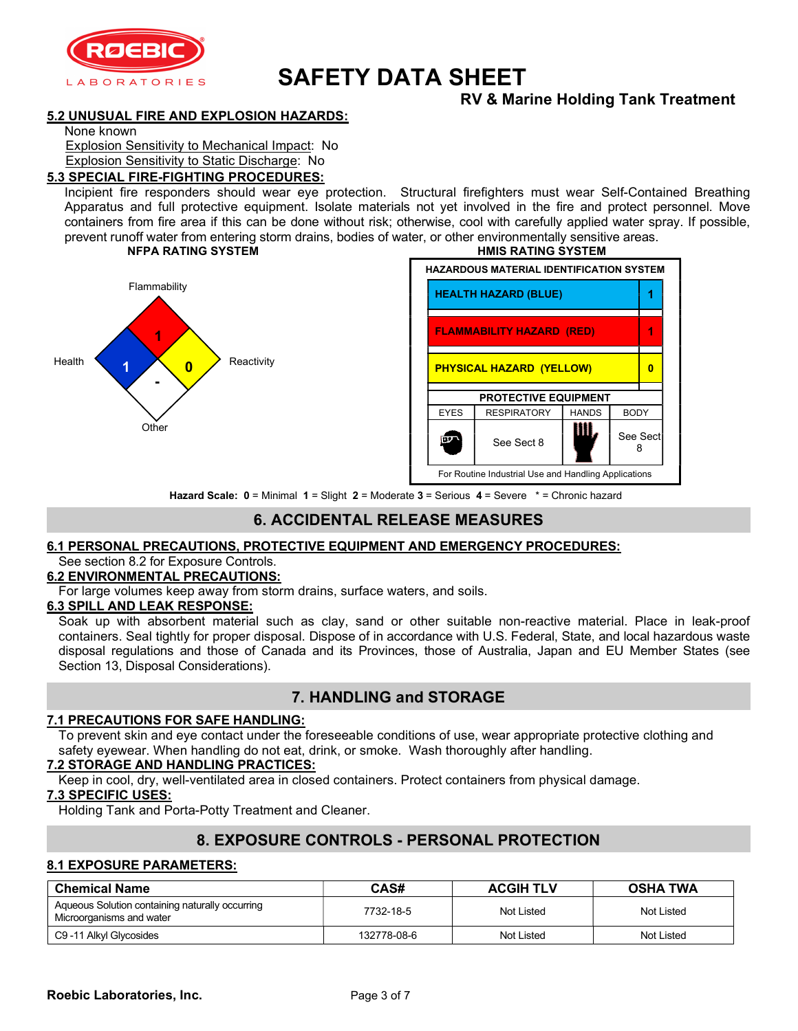

# RV & Marine Holding Tank Treatment

#### 5.2 UNUSUAL FIRE AND EXPLOSION HAZARDS:

None known

Explosion Sensitivity to Mechanical Impact: No

Explosion Sensitivity to Static Discharge: No

#### 5.3 SPECIAL FIRE-FIGHTING PROCEDURES:

Incipient fire responders should wear eye protection. Structural firefighters must wear Self-Contained Breathing Apparatus and full protective equipment. Isolate materials not yet involved in the fire and protect personnel. Move containers from fire area if this can be done without risk; otherwise, cool with carefully applied water spray. If possible, prevent runoff water from entering storm drains, bodies of water, or other environmentally sensitive areas.<br>**HIMIS RATING SYSTEM** 





Hazard Scale: 0 = Minimal 1 = Slight 2 = Moderate 3 = Serious 4 = Severe \* = Chronic hazard

# 6. ACCIDENTAL RELEASE MEASURES

#### 6.1 PERSONAL PRECAUTIONS, PROTECTIVE EQUIPMENT AND EMERGENCY PROCEDURES: See section 8.2 for Exposure Controls.

#### 6.2 ENVIRONMENTAL PRECAUTIONS:

For large volumes keep away from storm drains, surface waters, and soils.

#### 6.3 SPILL AND LEAK RESPONSE:

Soak up with absorbent material such as clay, sand or other suitable non-reactive material. Place in leak-proof containers. Seal tightly for proper disposal. Dispose of in accordance with U.S. Federal, State, and local hazardous waste disposal regulations and those of Canada and its Provinces, those of Australia, Japan and EU Member States (see Section 13, Disposal Considerations).

# 7. HANDLING and STORAGE

#### 7.1 PRECAUTIONS FOR SAFE HANDLING:

To prevent skin and eye contact under the foreseeable conditions of use, wear appropriate protective clothing and safety eyewear. When handling do not eat, drink, or smoke. Wash thoroughly after handling.

#### 7.2 STORAGE AND HANDLING PRACTICES:

Keep in cool, dry, well-ventilated area in closed containers. Protect containers from physical damage.

#### 7.3 SPECIFIC USES:

Holding Tank and Porta-Potty Treatment and Cleaner.

# 8. EXPOSURE CONTROLS - PERSONAL PROTECTION

#### 8.1 EXPOSURE PARAMETERS:

| <b>Chemical Name</b>                                                        | CAS#        | <b>ACGIH TLV</b> | <b>OSHA TWA</b> |
|-----------------------------------------------------------------------------|-------------|------------------|-----------------|
| Aqueous Solution containing naturally occurring<br>Microorganisms and water | 7732-18-5   | Not Listed       | Not Listed      |
| C9 -11 Alkyl Glycosides                                                     | 132778-08-6 | Not Listed       | Not Listed      |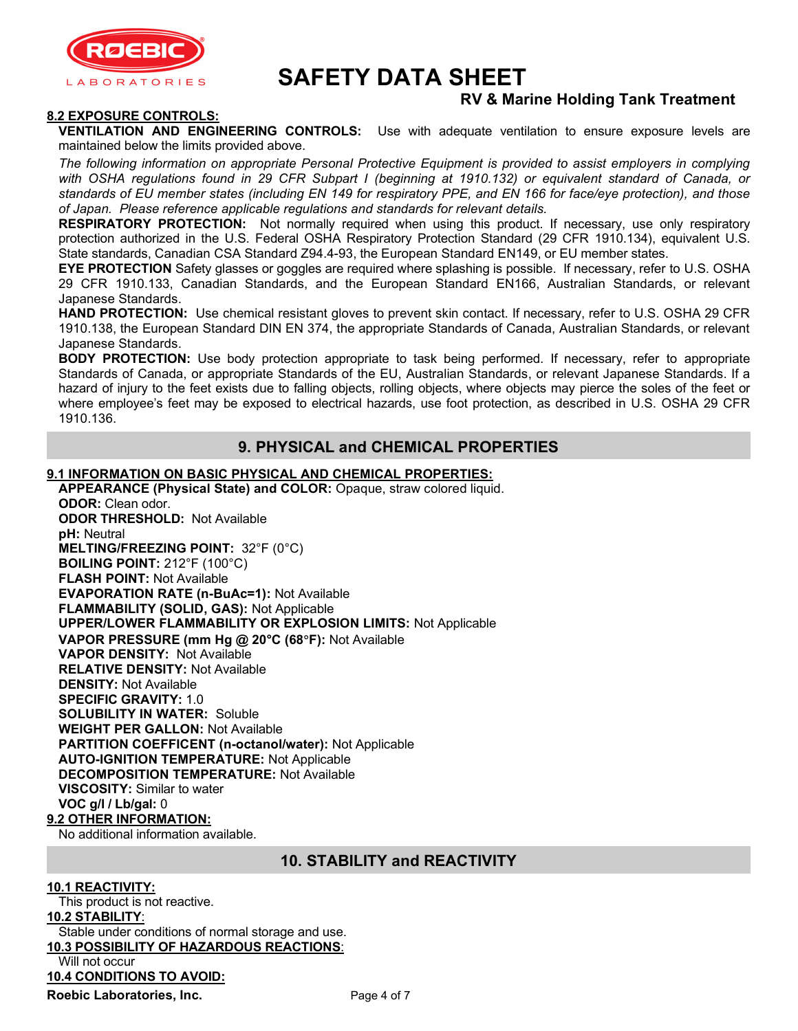

# RV & Marine Holding Tank Treatment

#### 8.2 EXPOSURE CONTROLS:

VENTILATION AND ENGINEERING CONTROLS: Use with adequate ventilation to ensure exposure levels are maintained below the limits provided above.

The following information on appropriate Personal Protective Equipment is provided to assist employers in complying with OSHA regulations found in 29 CFR Subpart I (beginning at 1910.132) or equivalent standard of Canada, or standards of EU member states (including EN 149 for respiratory PPE, and EN 166 for face/eye protection), and those of Japan. Please reference applicable regulations and standards for relevant details.

RESPIRATORY PROTECTION: Not normally required when using this product. If necessary, use only respiratory protection authorized in the U.S. Federal OSHA Respiratory Protection Standard (29 CFR 1910.134), equivalent U.S. State standards, Canadian CSA Standard Z94.4-93, the European Standard EN149, or EU member states.

EYE PROTECTION Safety glasses or goggles are required where splashing is possible. If necessary, refer to U.S. OSHA 29 CFR 1910.133, Canadian Standards, and the European Standard EN166, Australian Standards, or relevant Japanese Standards.

HAND PROTECTION: Use chemical resistant gloves to prevent skin contact. If necessary, refer to U.S. OSHA 29 CFR 1910.138, the European Standard DIN EN 374, the appropriate Standards of Canada, Australian Standards, or relevant Japanese Standards.

**BODY PROTECTION:** Use body protection appropriate to task being performed. If necessary, refer to appropriate Standards of Canada, or appropriate Standards of the EU, Australian Standards, or relevant Japanese Standards. If a hazard of injury to the feet exists due to falling objects, rolling objects, where objects may pierce the soles of the feet or where employee's feet may be exposed to electrical hazards, use foot protection, as described in U.S. OSHA 29 CFR 1910.136.

### 9. PHYSICAL and CHEMICAL PROPERTIES

#### 9.1 INFORMATION ON BASIC PHYSICAL AND CHEMICAL PROPERTIES:

APPEARANCE (Physical State) and COLOR: Opaque, straw colored liquid. ODOR: Clean odor. ODOR THRESHOLD: Not Available pH: Neutral MELTING/FREEZING POINT: 32°F (0°C) BOILING POINT: 212°F (100°C) FLASH POINT: Not Available EVAPORATION RATE (n-BuAc=1): Not Available FLAMMABILITY (SOLID, GAS): Not Applicable UPPER/LOWER FLAMMABILITY OR EXPLOSION LIMITS: Not Applicable VAPOR PRESSURE (mm Hg @ 20°C (68°F): Not Available VAPOR DENSITY: Not Available RELATIVE DENSITY: Not Available DENSITY: Not Available SPECIFIC GRAVITY: 1.0 SOLUBILITY IN WATER: Soluble WEIGHT PER GALLON: Not Available PARTITION COEFFICENT (n-octanol/water): Not Applicable AUTO-IGNITION TEMPERATURE: Not Applicable DECOMPOSITION TEMPERATURE: Not Available VISCOSITY: Similar to water VOC g/l / Lb/gal: 0 9.2 OTHER INFORMATION:

No additional information available.

# 10. STABILITY and REACTIVITY

#### Roebic Laboratories, Inc. The Communication of 7 10.1 REACTIVITY: This product is not reactive. 10.2 STABILITY: Stable under conditions of normal storage and use. 10.3 POSSIBILITY OF HAZARDOUS REACTIONS: Will not occur 10.4 CONDITIONS TO AVOID: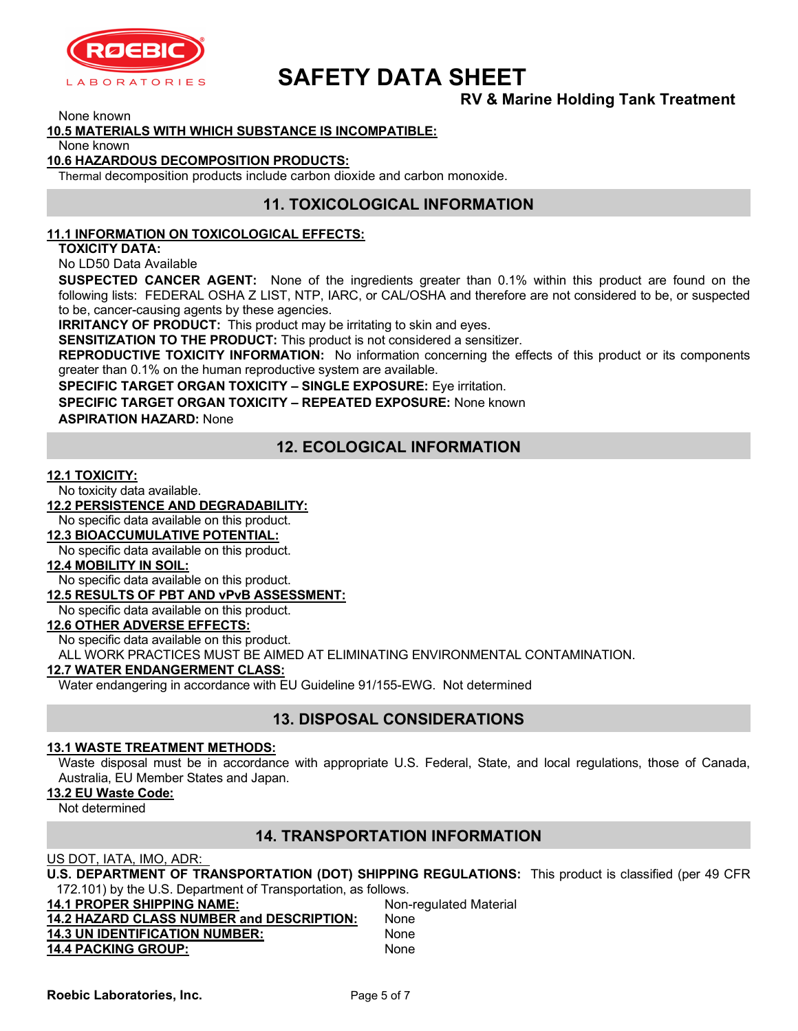

# RV & Marine Holding Tank Treatment

None known

#### 10.5 MATERIALS WITH WHICH SUBSTANCE IS INCOMPATIBLE:

None known

#### 10.6 HAZARDOUS DECOMPOSITION PRODUCTS:

Thermal decomposition products include carbon dioxide and carbon monoxide.

### 11. TOXICOLOGICAL INFORMATION

#### 11.1 INFORMATION ON TOXICOLOGICAL EFFECTS:

TOXICITY DATA:

No LD50 Data Available

SUSPECTED CANCER AGENT: None of the ingredients greater than 0.1% within this product are found on the following lists: FEDERAL OSHA Z LIST, NTP, IARC, or CAL/OSHA and therefore are not considered to be, or suspected to be, cancer-causing agents by these agencies.

**IRRITANCY OF PRODUCT:** This product may be irritating to skin and eyes.

SENSITIZATION TO THE PRODUCT: This product is not considered a sensitizer.

REPRODUCTIVE TOXICITY INFORMATION: No information concerning the effects of this product or its components greater than 0.1% on the human reproductive system are available.

SPECIFIC TARGET ORGAN TOXICITY - SINGLE EXPOSURE: Eye irritation.

SPECIFIC TARGET ORGAN TOXICITY – REPEATED EXPOSURE: None known

ASPIRATION HAZARD: None

# 12. ECOLOGICAL INFORMATION

#### 12.1 TOXICITY:

No toxicity data available.

#### 12.2 PERSISTENCE AND DEGRADABILITY:

No specific data available on this product.

#### 12.3 BIOACCUMULATIVE POTENTIAL:

No specific data available on this product.

#### 12.4 MOBILITY IN SOIL:

No specific data available on this product.

#### 12.5 RESULTS OF PBT AND vPvB ASSESSMENT:

No specific data available on this product.

#### 12.6 OTHER ADVERSE EFFECTS:

No specific data available on this product.

ALL WORK PRACTICES MUST BE AIMED AT ELIMINATING ENVIRONMENTAL CONTAMINATION.

#### 12.7 WATER ENDANGERMENT CLASS:

Water endangering in accordance with EU Guideline 91/155-EWG. Not determined

# 13. DISPOSAL CONSIDERATIONS

#### 13.1 WASTE TREATMENT METHODS:

Waste disposal must be in accordance with appropriate U.S. Federal, State, and local regulations, those of Canada, Australia, EU Member States and Japan.

### 13.2 EU Waste Code:

Not determined

# 14. TRANSPORTATION INFORMATION

US DOT, IATA, IMO, ADR: U.S. DEPARTMENT OF TRANSPORTATION (DOT) SHIPPING REGULATIONS: This product is classified (per 49 CFR 172.101) by the U.S. Department of Transportation, as follows.

| <b>14.1 PROPER SHIPPING NAME:</b>         | Non-regulated Material |
|-------------------------------------------|------------------------|
| 14.2 HAZARD CLASS NUMBER and DESCRIPTION: | <b>None</b>            |
| <b>14.3 UN IDENTIFICATION NUMBER:</b>     | <b>None</b>            |
| <b>14.4 PACKING GROUP:</b>                | <b>None</b>            |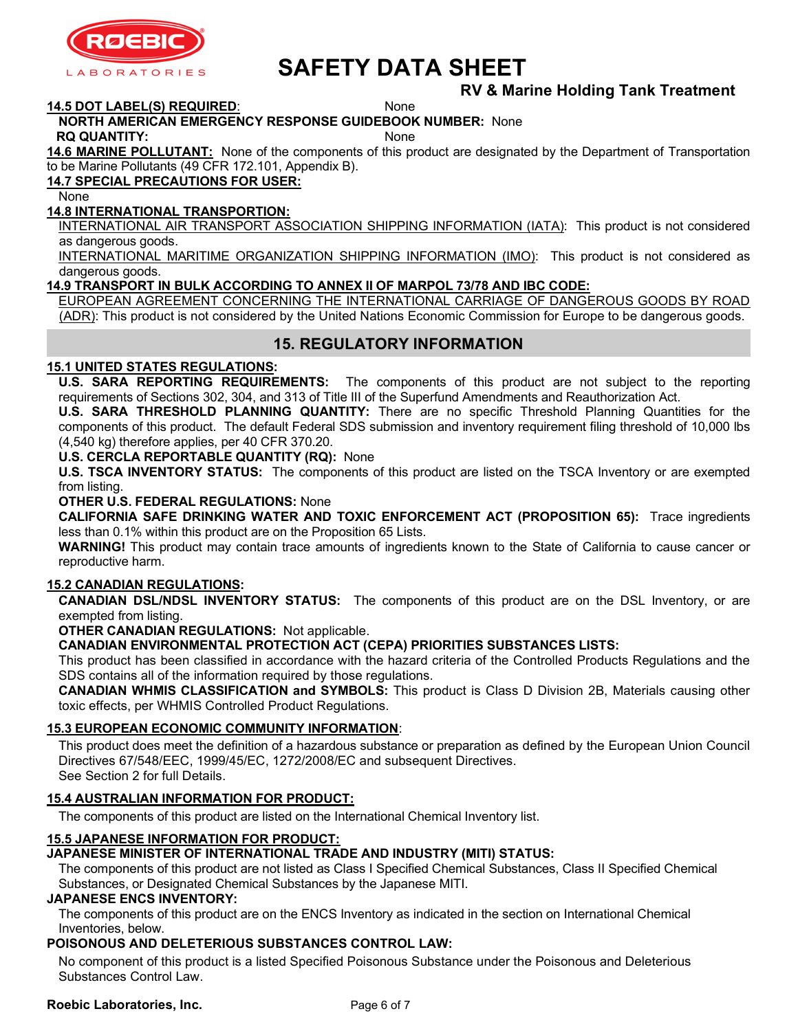

# RV & Marine Holding Tank Treatment

14.5 DOT LABEL(S) REQUIRED: None

#### NORTH AMERICAN EMERGENCY RESPONSE GUIDEBOOK NUMBER: None

RQ QUANTITY: None

14.6 MARINE POLLUTANT: None of the components of this product are designated by the Department of Transportation to be Marine Pollutants (49 CFR 172.101, Appendix B).

### 14.7 SPECIAL PRECAUTIONS FOR USER:

None

#### 14.8 INTERNATIONAL TRANSPORTION:

INTERNATIONAL AIR TRANSPORT ASSOCIATION SHIPPING INFORMATION (IATA): This product is not considered as dangerous goods.

INTERNATIONAL MARITIME ORGANIZATION SHIPPING INFORMATION (IMO): This product is not considered as dangerous goods.

#### 14.9 TRANSPORT IN BULK ACCORDING TO ANNEX II OF MARPOL 73/78 AND IBC CODE:

EUROPEAN AGREEMENT CONCERNING THE INTERNATIONAL CARRIAGE OF DANGEROUS GOODS BY ROAD (ADR): This product is not considered by the United Nations Economic Commission for Europe to be dangerous goods.

# 15. REGULATORY INFORMATION

#### 15.1 UNITED STATES REGULATIONS:

U.S. SARA REPORTING REQUIREMENTS: The components of this product are not subject to the reporting requirements of Sections 302, 304, and 313 of Title III of the Superfund Amendments and Reauthorization Act.

U.S. SARA THRESHOLD PLANNING QUANTITY: There are no specific Threshold Planning Quantities for the components of this product. The default Federal SDS submission and inventory requirement filing threshold of 10,000 lbs (4,540 kg) therefore applies, per 40 CFR 370.20.

#### U.S. CERCLA REPORTABLE QUANTITY (RQ): None

U.S. TSCA INVENTORY STATUS: The components of this product are listed on the TSCA Inventory or are exempted from listing.

#### OTHER U.S. FEDERAL REGULATIONS: None

CALIFORNIA SAFE DRINKING WATER AND TOXIC ENFORCEMENT ACT (PROPOSITION 65): Trace ingredients less than 0.1% within this product are on the Proposition 65 Lists.

WARNING! This product may contain trace amounts of ingredients known to the State of California to cause cancer or reproductive harm.

#### 15.2 CANADIAN REGULATIONS:

CANADIAN DSL/NDSL INVENTORY STATUS: The components of this product are on the DSL Inventory, or are exempted from listing.

OTHER CANADIAN REGULATIONS: Not applicable.

#### CANADIAN ENVIRONMENTAL PROTECTION ACT (CEPA) PRIORITIES SUBSTANCES LISTS:

This product has been classified in accordance with the hazard criteria of the Controlled Products Regulations and the SDS contains all of the information required by those regulations.

CANADIAN WHMIS CLASSIFICATION and SYMBOLS: This product is Class D Division 2B, Materials causing other toxic effects, per WHMIS Controlled Product Regulations.

#### 15.3 EUROPEAN ECONOMIC COMMUNITY INFORMATION:

This product does meet the definition of a hazardous substance or preparation as defined by the European Union Council Directives 67/548/EEC, 1999/45/EC, 1272/2008/EC and subsequent Directives. See Section 2 for full Details.

#### 15.4 AUSTRALIAN INFORMATION FOR PRODUCT:

The components of this product are listed on the International Chemical Inventory list.

#### 15.5 JAPANESE INFORMATION FOR PRODUCT:

### JAPANESE MINISTER OF INTERNATIONAL TRADE AND INDUSTRY (MITI) STATUS:

The components of this product are not listed as Class I Specified Chemical Substances, Class II Specified Chemical Substances, or Designated Chemical Substances by the Japanese MITI.

#### JAPANESE ENCS INVENTORY:

The components of this product are on the ENCS Inventory as indicated in the section on International Chemical Inventories, below.

#### POISONOUS AND DELETERIOUS SUBSTANCES CONTROL LAW:

No component of this product is a listed Specified Poisonous Substance under the Poisonous and Deleterious Substances Control Law.

#### Roebic Laboratories, Inc. The Page 6 of 7